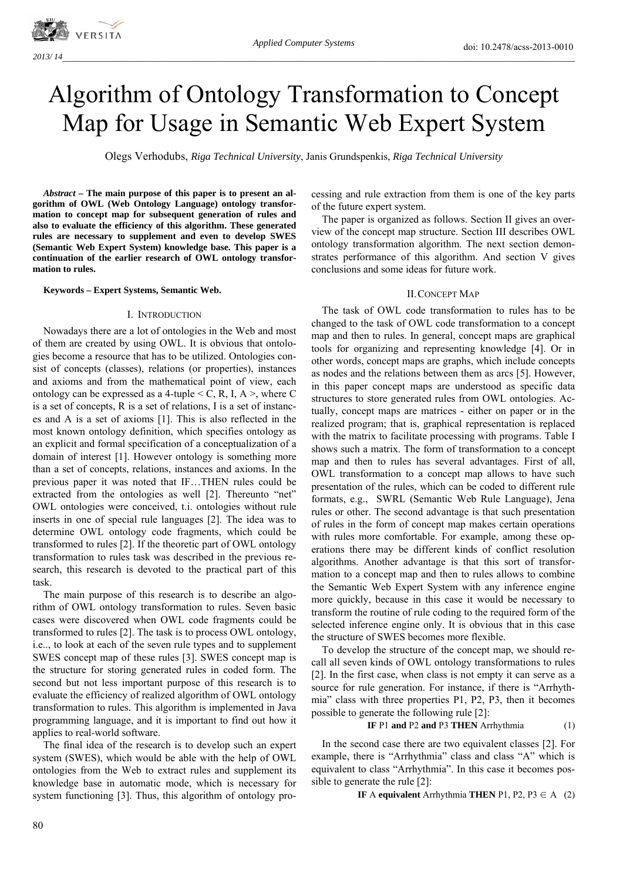# Algorithm of Ontology Transformation to Concept Map for Usage in Semantic Web Expert System

Olegs Verhodubs, *Riga Technical University*, Janis Grundspenkis, *Riga Technical University*

*Abstract –* **The main purpose of this paper is to present an algorithm of OWL (Web Ontology Language) ontology transformation to concept map for subsequent generation of rules and also to evaluate the efficiency of this algorithm. These generated rules are necessary to supplement and even to develop SWES (Semantic Web Expert System) knowledge base. This paper is a continuation of the earlier research of OWL ontology transformation to rules.** 

**Keywords – Expert Systems, Semantic Web.** 

# I. INTRODUCTION

Nowadays there are a lot of ontologies in the Web and most of them are created by using OWL. It is obvious that ontologies become a resource that has to be utilized. Ontologies consist of concepts (classes), relations (or properties), instances and axioms and from the mathematical point of view, each ontology can be expressed as a 4-tuple  $\leq C$ , R, I, A  $>$ , where C is a set of concepts, R is a set of relations, I is a set of instances and A is a set of axioms [1]. This is also reflected in the most known ontology definition, which specifies ontology as an explicit and formal specification of a conceptualization of a domain of interest [1]. However ontology is something more than a set of concepts, relations, instances and axioms. In the previous paper it was noted that IF…THEN rules could be extracted from the ontologies as well [2]. Thereunto "net" OWL ontologies were conceived, t.i. ontologies without rule inserts in one of special rule languages [2]. The idea was to determine OWL ontology code fragments, which could be transformed to rules [2]. If the theoretic part of OWL ontology transformation to rules task was described in the previous research, this research is devoted to the practical part of this task.

The main purpose of this research is to describe an algorithm of OWL ontology transformation to rules. Seven basic cases were discovered when OWL code fragments could be transformed to rules [2]. The task is to process OWL ontology, i.e.., to look at each of the seven rule types and to supplement SWES concept map of these rules [3]. SWES concept map is the structure for storing generated rules in coded form. The second but not less important purpose of this research is to evaluate the efficiency of realized algorithm of OWL ontology transformation to rules. This algorithm is implemented in Java programming language, and it is important to find out how it applies to real-world software.

The final idea of the research is to develop such an expert system (SWES), which would be able with the help of OWL ontologies from the Web to extract rules and supplement its knowledge base in automatic mode, which is necessary for system functioning [3]. Thus, this algorithm of ontology processing and rule extraction from them is one of the key parts of the future expert system.

The paper is organized as follows. Section II gives an overview of the concept map structure. Section III describes OWL ontology transformation algorithm. The next section demonstrates performance of this algorithm. And section V gives conclusions and some ideas for future work.

## II.CONCEPT MAP

The task of OWL code transformation to rules has to be changed to the task of OWL code transformation to a concept map and then to rules. In general, concept maps are graphical tools for organizing and representing knowledge [4]. Or in other words, concept maps are graphs, which include concepts as nodes and the relations between them as arcs [5]. However, in this paper concept maps are understood as specific data structures to store generated rules from OWL ontologies. Actually, concept maps are matrices - either on paper or in the realized program; that is, graphical representation is replaced with the matrix to facilitate processing with programs. Table I shows such a matrix. The form of transformation to a concept map and then to rules has several advantages. First of all, OWL transformation to a concept map allows to have such presentation of the rules, which can be coded to different rule formats, e.g., SWRL (Semantic Web Rule Language), Jena rules or other. The second advantage is that such presentation of rules in the form of concept map makes certain operations with rules more comfortable. For example, among these operations there may be different kinds of conflict resolution algorithms. Another advantage is that this sort of transformation to a concept map and then to rules allows to combine the Semantic Web Expert System with any inference engine more quickly, because in this case it would be necessary to transform the routine of rule coding to the required form of the selected inference engine only. It is obvious that in this case the structure of SWES becomes more flexible.

To develop the structure of the concept map, we should recall all seven kinds of OWL ontology transformations to rules [2]. In the first case, when class is not empty it can serve as a source for rule generation. For instance, if there is "Arrhythmia" class with three properties P1, P2, P3, then it becomes possible to generate the following rule [2]:

IF 
$$
P1
$$
 and  $P2$  and  $P3$  THEN Arrhythmia 
$$
(1)
$$

In the second case there are two equivalent classes [2]. For example, there is "Arrhythmia" class and class "A" which is equivalent to class "Arrhythmia". In this case it becomes possible to generate the rule [2]:

**IF** A **equivalent** Arrhythmia **THEN**  $P1$ ,  $P2$ ,  $P3 \in A$  (2)

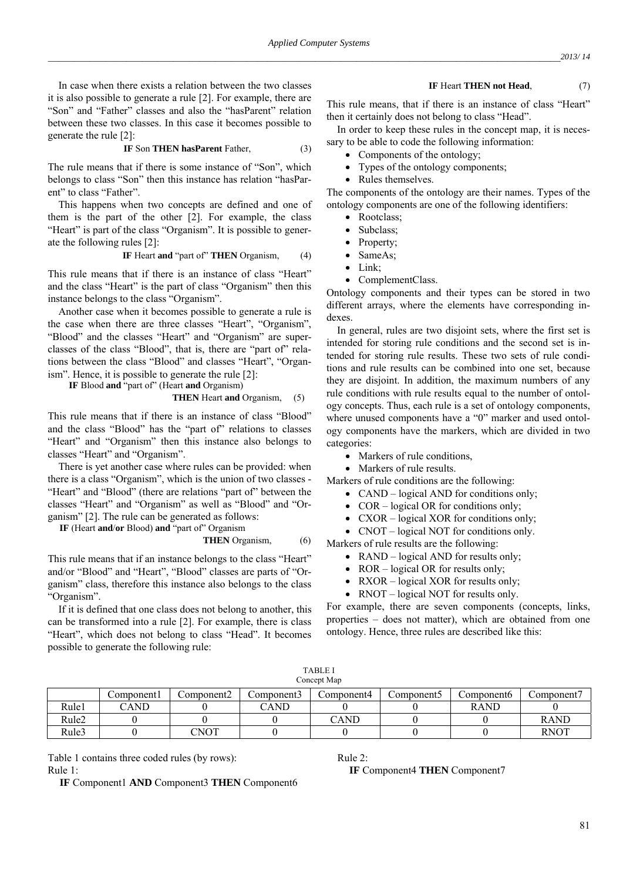In case when there exists a relation between the two classes it is also possible to generate a rule [2]. For example, there are "Son" and "Father" classes and also the "hasParent" relation between these two classes. In this case it becomes possible to generate the rule [2]:

**IF** Son **THEN** hasParent Father, (3)

The rule means that if there is some instance of "Son", which belongs to class "Son" then this instance has relation "hasParent" to class "Father".

This happens when two concepts are defined and one of them is the part of the other [2]. For example, the class "Heart" is part of the class "Organism". It is possible to generate the following rules [2]:

IF Heart and "part of" **THEN** Organism, 
$$
(4)
$$

This rule means that if there is an instance of class "Heart" and the class "Heart" is the part of class "Organism" then this instance belongs to the class "Organism".

Another case when it becomes possible to generate a rule is the case when there are three classes "Heart", "Organism", "Blood" and the classes "Heart" and "Organism" are superclasses of the class "Blood", that is, there are "part of" relations between the class "Blood" and classes "Heart", "Organism". Hence, it is possible to generate the rule [2]:

 **IF** Blood **and** "part of" (Heart **and** Organism)

### **THEN** Heart **and** Organism, (5)

This rule means that if there is an instance of class "Blood" and the class "Blood" has the "part of" relations to classes "Heart" and "Organism" then this instance also belongs to classes "Heart" and "Organism".

There is yet another case where rules can be provided: when there is a class "Organism", which is the union of two classes - "Heart" and "Blood" (there are relations "part of" between the classes "Heart" and "Organism" as well as "Blood" and "Organism" [2]. The rule can be generated as follows:

 **IF** (Heart **and**/**or** Blood) **and** "part of" Organism

**THEN** Organism, 
$$
(6)
$$

This rule means that if an instance belongs to the class "Heart" and/or "Blood" and "Heart", "Blood" classes are parts of "Organism" class, therefore this instance also belongs to the class "Organism".

If it is defined that one class does not belong to another, this can be transformed into a rule [2]. For example, there is class "Heart", which does not belong to class "Head". It becomes possible to generate the following rule:

#### **IF Heart THEN not Head,** (7)

This rule means, that if there is an instance of class "Heart" then it certainly does not belong to class "Head".

 In order to keep these rules in the concept map, it is necessary to be able to code the following information:

- Components of the ontology;
- Types of the ontology components;
- Rules themselves.

The components of the ontology are their names. Types of the ontology components are one of the following identifiers:

- Rootclass:
- Subclass;
- Property;
- SameAs;
- Link;
- ComplementClass.

Ontology components and their types can be stored in two different arrays, where the elements have corresponding indexes.

 In general, rules are two disjoint sets, where the first set is intended for storing rule conditions and the second set is intended for storing rule results. These two sets of rule conditions and rule results can be combined into one set, because they are disjoint. In addition, the maximum numbers of any rule conditions with rule results equal to the number of ontology concepts. Thus, each rule is a set of ontology components, where unused components have a "0" marker and used ontology components have the markers, which are divided in two categories:

- Markers of rule conditions,
- Markers of rule results.

Markers of rule conditions are the following:

- CAND logical AND for conditions only;
- COR logical OR for conditions only;
- CXOR logical XOR for conditions only;
- CNOT logical NOT for conditions only.

Markers of rule results are the following:

- RAND logical AND for results only;
- ROR logical OR for results only;
- RXOR logical XOR for results only;
- RNOT logical NOT for results only.

For example, there are seven components (concepts, links, properties – does not matter), which are obtained from one ontology. Hence, three rules are described like this:

TABLE I Concept Map

|                   | Component l | Component2 | Component3 | Component4      | Component5 | Component6 | Component <del>d</del> |
|-------------------|-------------|------------|------------|-----------------|------------|------------|------------------------|
| Rule <sub>1</sub> | CAND        |            | CAND       |                 |            | RAND       |                        |
| Rule <sub>2</sub> |             |            |            | $\mathbb C$ and |            |            | <b>RAND</b>            |
| Rule3             |             | CNOT       |            |                 |            |            | <b>RNOT</b>            |

Table 1 contains three coded rules (by rows): Rule 1:

**IF** Component1 **AND** Component3 **THEN** Component6

Rule 2:

**IF** Component4 **THEN** Component7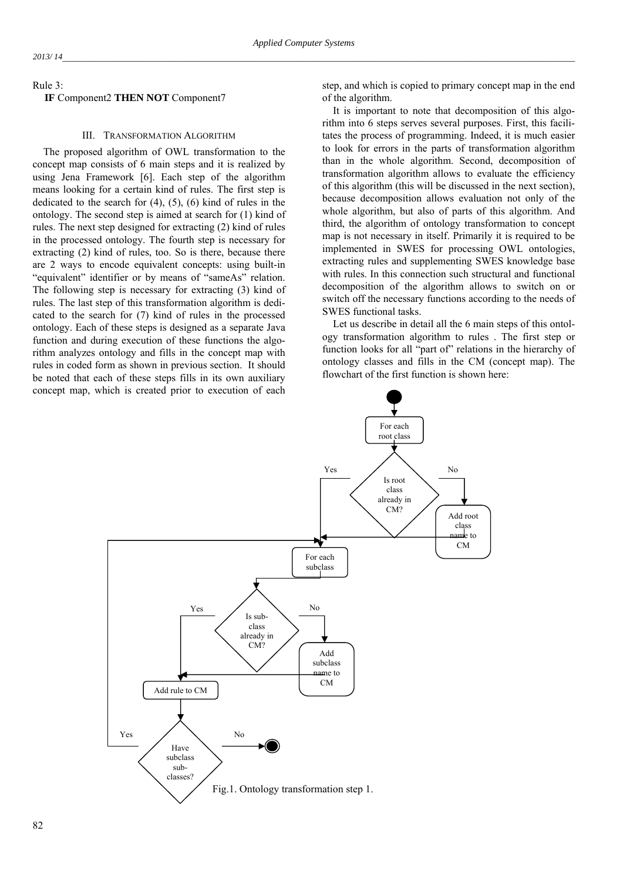#### Rule 3:

#### **IF** Component2 **THEN NOT** Component7

#### III. TRANSFORMATION ALGORITHM

The proposed algorithm of OWL transformation to the concept map consists of 6 main steps and it is realized by using Jena Framework [6]. Each step of the algorithm means looking for a certain kind of rules. The first step is dedicated to the search for  $(4)$ ,  $(5)$ ,  $(6)$  kind of rules in the ontology. The second step is aimed at search for (1) kind of rules. The next step designed for extracting (2) kind of rules in the processed ontology. The fourth step is necessary for extracting (2) kind of rules, too. So is there, because there are 2 ways to encode equivalent concepts: using built-in "equivalent" identifier or by means of "sameAs" relation. The following step is necessary for extracting (3) kind of rules. The last step of this transformation algorithm is dedicated to the search for (7) kind of rules in the processed ontology. Each of these steps is designed as a separate Java function and during execution of these functions the algorithm analyzes ontology and fills in the concept map with rules in coded form as shown in previous section. It should be noted that each of these steps fills in its own auxiliary concept map, which is created prior to execution of each

step, and which is copied to primary concept map in the end of the algorithm.

It is important to note that decomposition of this algorithm into 6 steps serves several purposes. First, this facilitates the process of programming. Indeed, it is much easier to look for errors in the parts of transformation algorithm than in the whole algorithm. Second, decomposition of transformation algorithm allows to evaluate the efficiency of this algorithm (this will be discussed in the next section), because decomposition allows evaluation not only of the whole algorithm, but also of parts of this algorithm. And third, the algorithm of ontology transformation to concept map is not necessary in itself. Primarily it is required to be implemented in SWES for processing OWL ontologies, extracting rules and supplementing SWES knowledge base with rules. In this connection such structural and functional decomposition of the algorithm allows to switch on or switch off the necessary functions according to the needs of SWES functional tasks.

Let us describe in detail all the 6 main steps of this ontology transformation algorithm to rules . The first step or function looks for all "part of" relations in the hierarchy of ontology classes and fills in the CM (concept map). The flowchart of the first function is shown here:

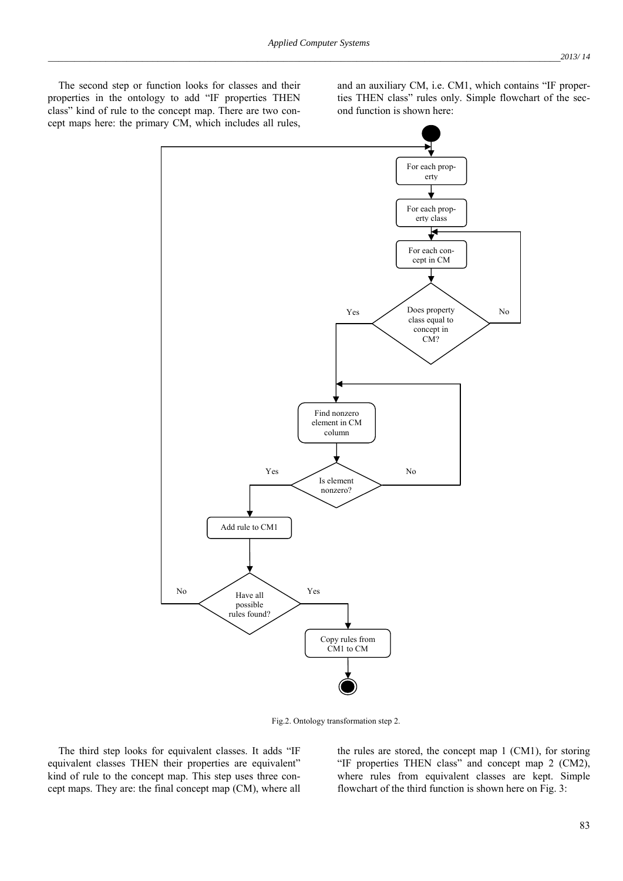The second step or function looks for classes and their properties in the ontology to add "IF properties THEN class" kind of rule to the concept map. There are two concept maps here: the primary CM, which includes all rules, and an auxiliary CM, i.e. CM1, which contains "IF properties THEN class" rules only. Simple flowchart of the second function is shown here:



Fig.2. Ontology transformation step 2.

The third step looks for equivalent classes. It adds "IF equivalent classes THEN their properties are equivalent" kind of rule to the concept map. This step uses three concept maps. They are: the final concept map (CM), where all the rules are stored, the concept map 1 (CM1), for storing "IF properties THEN class" and concept map 2 (CM2), where rules from equivalent classes are kept. Simple flowchart of the third function is shown here on Fig. 3: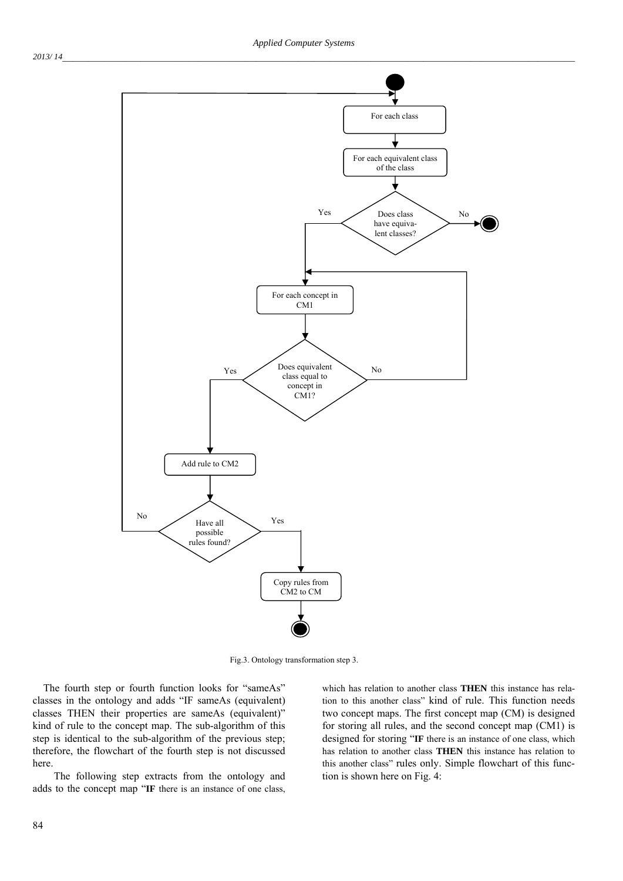

Fig.3. Ontology transformation step 3.

The fourth step or fourth function looks for "sameAs" classes in the ontology and adds "IF sameAs (equivalent) classes THEN their properties are sameAs (equivalent)" kind of rule to the concept map. The sub-algorithm of this step is identical to the sub-algorithm of the previous step; therefore, the flowchart of the fourth step is not discussed here.

 The following step extracts from the ontology and adds to the concept map "**IF** there is an instance of one class, which has relation to another class **THEN** this instance has relation to this another class" kind of rule. This function needs two concept maps. The first concept map (CM) is designed for storing all rules, and the second concept map (CM1) is designed for storing "**IF** there is an instance of one class, which has relation to another class **THEN** this instance has relation to this another class" rules only. Simple flowchart of this function is shown here on Fig. 4: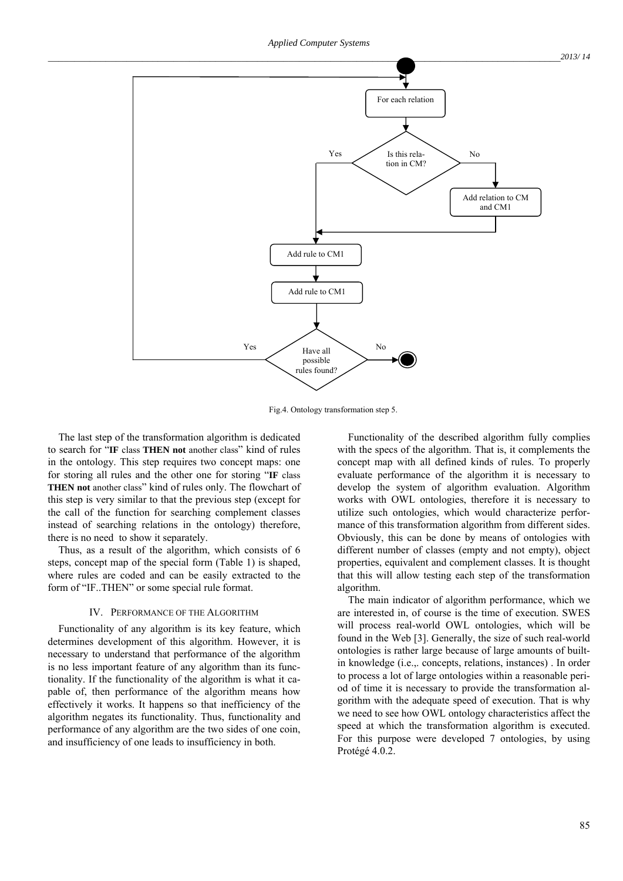

Fig.4. Ontology transformation step 5.

The last step of the transformation algorithm is dedicated to search for "**IF** class **THEN not** another class" kind of rules in the ontology. This step requires two concept maps: one for storing all rules and the other one for storing "**IF** class **THEN not** another class" kind of rules only. The flowchart of this step is very similar to that the previous step (except for the call of the function for searching complement classes instead of searching relations in the ontology) therefore, there is no need to show it separately.

Thus, as a result of the algorithm, which consists of 6 steps, concept map of the special form (Table 1) is shaped, where rules are coded and can be easily extracted to the form of "IF..THEN" or some special rule format.

#### IV. PERFORMANCE OF THE ALGORITHM

Functionality of any algorithm is its key feature, which determines development of this algorithm. However, it is necessary to understand that performance of the algorithm is no less important feature of any algorithm than its functionality. If the functionality of the algorithm is what it capable of, then performance of the algorithm means how effectively it works. It happens so that inefficiency of the algorithm negates its functionality. Thus, functionality and performance of any algorithm are the two sides of one coin, and insufficiency of one leads to insufficiency in both.

Functionality of the described algorithm fully complies with the specs of the algorithm. That is, it complements the concept map with all defined kinds of rules. To properly evaluate performance of the algorithm it is necessary to develop the system of algorithm evaluation. Algorithm works with OWL ontologies, therefore it is necessary to utilize such ontologies, which would characterize performance of this transformation algorithm from different sides. Obviously, this can be done by means of ontologies with different number of classes (empty and not empty), object properties, equivalent and complement classes. It is thought that this will allow testing each step of the transformation algorithm.

The main indicator of algorithm performance, which we are interested in, of course is the time of execution. SWES will process real-world OWL ontologies, which will be found in the Web [3]. Generally, the size of such real-world ontologies is rather large because of large amounts of builtin knowledge (i.e.,. concepts, relations, instances) . In order to process a lot of large ontologies within a reasonable period of time it is necessary to provide the transformation algorithm with the adequate speed of execution. That is why we need to see how OWL ontology characteristics affect the speed at which the transformation algorithm is executed. For this purpose were developed 7 ontologies, by using Protégé 4.0.2.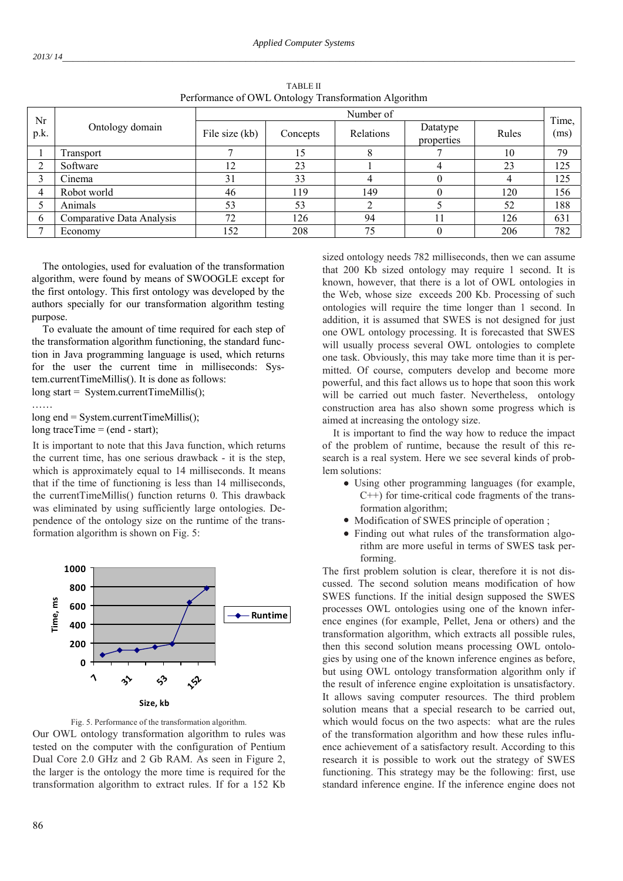| Nr   |                           | Number of      |          |           |                        |       |               |  |  |  |  |
|------|---------------------------|----------------|----------|-----------|------------------------|-------|---------------|--|--|--|--|
| p.k. | Ontology domain           | File size (kb) | Concepts | Relations | Datatype<br>properties | Rules | Time,<br>(ms) |  |  |  |  |
|      | Transport                 |                | 15       | δ         |                        | 10    | 79            |  |  |  |  |
| C    | Software                  | 12             | 23       |           |                        | 23    | 125           |  |  |  |  |
| 3    | Cinema                    | 31             | 33       |           |                        |       | 125           |  |  |  |  |
| 4    | Robot world               | 46             | 119      | 149       |                        | 120   | 156           |  |  |  |  |
|      | Animals                   | 53             | 53       |           |                        | 52    | 188           |  |  |  |  |
| 6    | Comparative Data Analysis | 72             | 126      | 94        |                        | 126   | 631           |  |  |  |  |
|      | Economy                   | 152            | 208      | 75        |                        | 206   | 782           |  |  |  |  |

TABLE II Performance of OWL Ontology Transformation Algorithm

The ontologies, used for evaluation of the transformation algorithm, were found by means of SWOOGLE except for the first ontology. This first ontology was developed by the authors specially for our transformation algorithm testing purpose.

To evaluate the amount of time required for each step of the transformation algorithm functioning, the standard function in Java programming language is used, which returns for the user the current time in milliseconds: System.currentTimeMillis(). It is done as follows: long start = System.currentTimeMillis();

……

long end = System.currentTimeMillis();

long traceTime = (end - start);

It is important to note that this Java function, which returns the current time, has one serious drawback - it is the step, which is approximately equal to 14 milliseconds. It means that if the time of functioning is less than 14 milliseconds, the currentTimeMillis() function returns 0. This drawback was eliminated by using sufficiently large ontologies. Dependence of the ontology size on the runtime of the transformation algorithm is shown on Fig. 5:



Fig. 5. Performance of the transformation algorithm. Our OWL ontology transformation algorithm to rules was tested on the computer with the configuration of Pentium Dual Core 2.0 GHz and 2 Gb RAM. As seen in Figure 2, the larger is the ontology the more time is required for the transformation algorithm to extract rules. If for a 152 Kb

sized ontology needs 782 milliseconds, then we can assume that 200 Kb sized ontology may require 1 second. It is known, however, that there is a lot of OWL ontologies in the Web, whose size exceeds 200 Kb. Processing of such ontologies will require the time longer than 1 second. In addition, it is assumed that SWES is not designed for just one OWL ontology processing. It is forecasted that SWES will usually process several OWL ontologies to complete one task. Obviously, this may take more time than it is permitted. Of course, computers develop and become more powerful, and this fact allows us to hope that soon this work will be carried out much faster. Nevertheless, ontology construction area has also shown some progress which is aimed at increasing the ontology size.

It is important to find the way how to reduce the impact of the problem of runtime, because the result of this research is a real system. Here we see several kinds of problem solutions:

- Using other programming languages (for example, C++) for time-critical code fragments of the transformation algorithm;
- Modification of SWES principle of operation ;
- Finding out what rules of the transformation algorithm are more useful in terms of SWES task performing.

The first problem solution is clear, therefore it is not discussed. The second solution means modification of how SWES functions. If the initial design supposed the SWES processes OWL ontologies using one of the known inference engines (for example, Pellet, Jena or others) and the transformation algorithm, which extracts all possible rules, then this second solution means processing OWL ontologies by using one of the known inference engines as before, but using OWL ontology transformation algorithm only if the result of inference engine exploitation is unsatisfactory. It allows saving computer resources. The third problem solution means that a special research to be carried out, which would focus on the two aspects: what are the rules of the transformation algorithm and how these rules influence achievement of a satisfactory result. According to this research it is possible to work out the strategy of SWES functioning. This strategy may be the following: first, use standard inference engine. If the inference engine does not